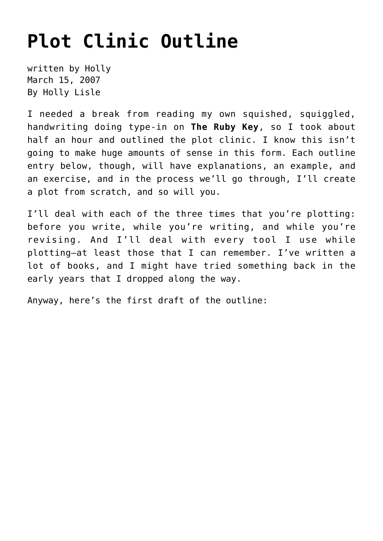## **[Plot Clinic Outline](https://hollylisle.com/plot-clinic-outline/)**

written by Holly March 15, 2007 [By Holly Lisle](https://hollylisle.com)

I needed a break from reading my own squished, squiggled, handwriting doing type-in on **The Ruby Key**, so I took about half an hour and outlined the plot clinic. I know this isn't going to make huge amounts of sense in this form. Each outline entry below, though, will have explanations, an example, and an exercise, and in the process we'll go through, I'll create a plot from scratch, and so will you.

I'll deal with each of the three times that you're plotting: before you write, while you're writing, and while you're revising. And I'll deal with every tool I use while plotting—at least those that I can remember. I've written a lot of books, and I might have tried something back in the early years that I dropped along the way.

Anyway, here's the first draft of the outline: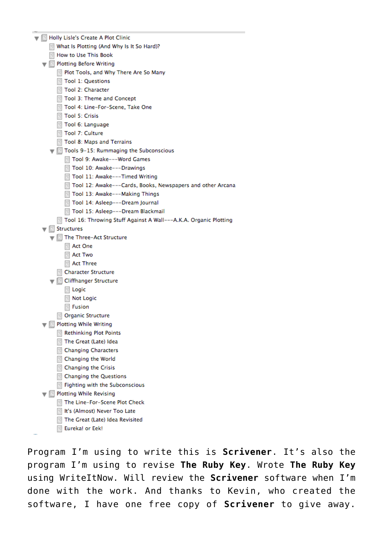| Holly Lisle's Create A Plot Clinic                               |
|------------------------------------------------------------------|
| What Is Plotting (And Why Is It So Hard)?                        |
| How to Use This Book                                             |
| ▼ 图 Plotting Before Writing                                      |
| Many Plot Tools, and Why There Are So Many                       |
| Tool 1: Questions                                                |
| Tool 2: Character                                                |
| Tool 3: Theme and Concept                                        |
| Tool 4: Line-For-Scene, Take One                                 |
| <b>Tool 5: Crisis</b>                                            |
| Tool 6: Language                                                 |
| Tool 7: Culture                                                  |
| Tool 8: Maps and Terrains                                        |
| ■ Tools 9-15: Rummaging the Subconscious                         |
| Tool 9: Awake---Word Games                                       |
| Tool 10: Awake---Drawings                                        |
| Tool 11: Awake---Timed Writing                                   |
| He Tool 12: Awake---Cards, Books, Newspapers and other Arcana    |
| Tool 13: Awake---Making Things                                   |
| Tool 14: Asleep---Dream Journal                                  |
| Tool 15: Asleep---Dream Blackmail                                |
| Tool 16: Throwing Stuff Against A Wall---A.K.A. Organic Plotting |
| <b>Structures</b><br>偃                                           |
| The Three-Act Structure                                          |
| Act One                                                          |
| <b>Act Two</b>                                                   |
| Act Three                                                        |
| <b>Character Structure</b><br>圍                                  |
| 图 Cliffhanger Structure                                          |
| 图 Logic                                                          |
| Not Logic                                                        |
| <b>Fusion</b>                                                    |
| Organic Structure                                                |
| <b>Plotting While Writing</b><br>圈                               |
| <b>Rethinking Plot Points</b>                                    |
| The Great (Late) Idea                                            |
| <b>Changing Characters</b><br>田                                  |
| Changing the World                                               |
| Changing the Crisis<br>圉                                         |
| <b>Changing the Questions</b><br>田                               |
| Fighting with the Subconscious<br>圉                              |
| <b>Plotting While Revising</b><br>圖                              |
| The Line-For-Scene Plot Check<br>圍                               |
| It's (Almost) Never Too Late                                     |
| The Great (Late) Idea Revisited                                  |

Eureka! or Eek!

Program I'm using to write this is **[Scrivener](http://www.literatureandlatte.com/scrivener.html)**. It's also the program I'm using to revise **The Ruby Key**. Wrote **The Ruby Key** using [WriteItNow.](http://www.ravensheadservices.com/) Will review the **Scrivener** software when I'm done with the work. And thanks to Kevin, who created the software, I have one free copy of **Scrivener** to give away.